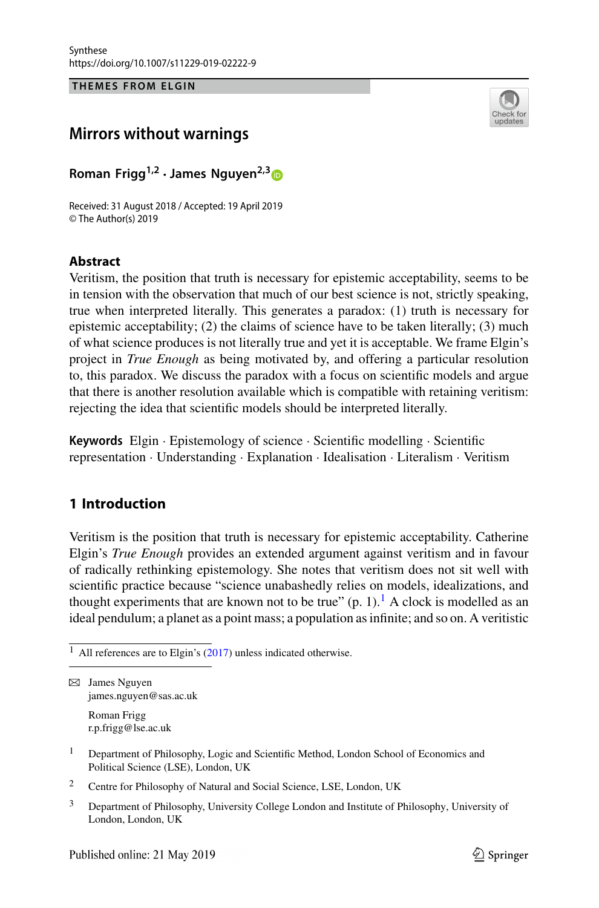THEMES FROM ELGIN **THEMES FROM ELGIN**



# **Mirrors without warnings**

**Roman Frigg1,2 · James Nguyen2,[3](http://orcid.org/0000-0002-6919-1365)**

Received: 31 August 2018 / Accepted: 19 April 2019 © The Author(s) 2019

# **Abstract**

Veritism, the position that truth is necessary for epistemic acceptability, seems to be in tension with the observation that much of our best science is not, strictly speaking, true when interpreted literally. This generates a paradox: (1) truth is necessary for epistemic acceptability; (2) the claims of science have to be taken literally; (3) much of what science produces is not literally true and yet it is acceptable. We frame Elgin's project in *True Enough* as being motivated by, and offering a particular resolution to, this paradox. We discuss the paradox with a focus on scientific models and argue that there is another resolution available which is compatible with retaining veritism: rejecting the idea that scientific models should be interpreted literally.

**Keywords** Elgin · Epistemology of science · Scientific modelling · Scientific representation · Understanding · Explanation · Idealisation · Literalism · Veritism

# **1 Introduction**

Veritism is the position that truth is necessary for epistemic acceptability. Catherine Elgin's *True Enough* provides an extended argument against veritism and in favour of radically rethinking epistemology. She notes that veritism does not sit well with scientific practice because "science unabashedly relies on models, idealizations, and thought experiments that are known not to be true"  $(p, 1)$  $(p, 1)$  $(p, 1)$ .<sup>1</sup> A clock is modelled as an ideal pendulum; a planet as a point mass; a population as infinite; and so on. A veritistic

Roman Frigg r.p.frigg@lse.ac.uk

- <sup>2</sup> Centre for Philosophy of Natural and Social Science, LSE, London, UK
- <sup>3</sup> Department of Philosophy, University College London and Institute of Philosophy, University of London, London, UK

<span id="page-0-0"></span> $1$  All references are to Elgin's [\(2017\)](#page-19-0) unless indicated otherwise.

 $\boxtimes$  James Nguyen james.nguyen@sas.ac.uk

<sup>&</sup>lt;sup>1</sup> Department of Philosophy, Logic and Scientific Method, London School of Economics and Political Science (LSE), London, UK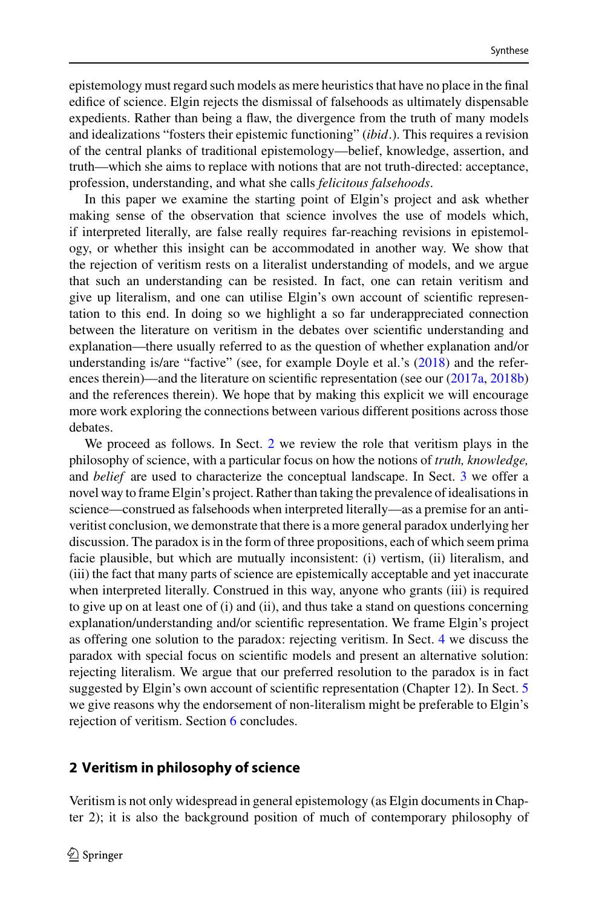epistemology must regard such models as mere heuristics that have no place in the final edifice of science. Elgin rejects the dismissal of falsehoods as ultimately dispensable expedients. Rather than being a flaw, the divergence from the truth of many models and idealizations "fosters their epistemic functioning" (*ibid*.). This requires a revision of the central planks of traditional epistemology—belief, knowledge, assertion, and truth—which she aims to replace with notions that are not truth-directed: acceptance, profession, understanding, and what she calls *felicitous falsehoods*.

In this paper we examine the starting point of Elgin's project and ask whether making sense of the observation that science involves the use of models which, if interpreted literally, are false really requires far-reaching revisions in epistemology, or whether this insight can be accommodated in another way. We show that the rejection of veritism rests on a literalist understanding of models, and we argue that such an understanding can be resisted. In fact, one can retain veritism and give up literalism, and one can utilise Elgin's own account of scientific representation to this end. In doing so we highlight a so far underappreciated connection between the literature on veritism in the debates over scientific understanding and explanation—there usually referred to as the question of whether explanation and/or understanding is/are "factive" (see, for example Doyle et al.'s [\(2018\)](#page-19-1) and the references therein)—and the literature on scientific representation (see our  $(2017a, 2018b)$  $(2017a, 2018b)$  $(2017a, 2018b)$ and the references therein). We hope that by making this explicit we will encourage more work exploring the connections between various different positions across those debates.

We proceed as follows. In Sect. [2](#page-1-0) we review the role that veritism plays in the philosophy of science, with a particular focus on how the notions of *truth, knowledge,* and *belief* are used to characterize the conceptual landscape. In Sect. [3](#page-3-0) we offer a novel way to frame Elgin's project. Rather than taking the prevalence of idealisations in science—construed as falsehoods when interpreted literally—as a premise for an antiveritist conclusion, we demonstrate that there is a more general paradox underlying her discussion. The paradox is in the form of three propositions, each of which seem prima facie plausible, but which are mutually inconsistent: (i) vertism, (ii) literalism, and (iii) the fact that many parts of science are epistemically acceptable and yet inaccurate when interpreted literally. Construed in this way, anyone who grants (iii) is required to give up on at least one of (i) and (ii), and thus take a stand on questions concerning explanation/understanding and/or scientific representation. We frame Elgin's project as offering one solution to the paradox: rejecting veritism. In Sect. [4](#page-7-0) we discuss the paradox with special focus on scientific models and present an alternative solution: rejecting literalism. We argue that our preferred resolution to the paradox is in fact suggested by Elgin's own account of scientific representation (Chapter 12). In Sect. [5](#page-15-0) we give reasons why the endorsement of non-literalism might be preferable to Elgin's rejection of veritism. Section [6](#page-18-0) concludes.

### <span id="page-1-0"></span>**2 Veritism in philosophy of science**

Veritism is not only widespread in general epistemology (as Elgin documents in Chapter 2); it is also the background position of much of contemporary philosophy of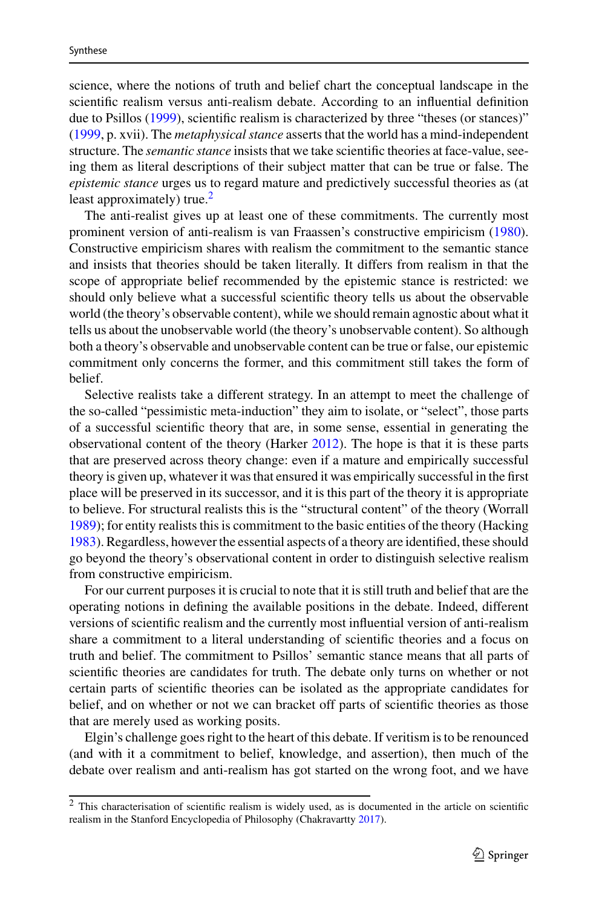science, where the notions of truth and belief chart the conceptual landscape in the scientific realism versus anti-realism debate. According to an influential definition due to Psillos [\(1999\)](#page-20-0), scientific realism is characterized by three "theses (or stances)" [\(1999,](#page-20-0) p. xvii). The *metaphysical stance* asserts that the world has a mind-independent structure. The *semantic stance* insists that we take scientific theories at face-value, seeing them as literal descriptions of their subject matter that can be true or false. The *epistemic stance* urges us to regard mature and predictively successful theories as (at least approximately) true.<sup>[2](#page-2-0)</sup>

The anti-realist gives up at least one of these commitments. The currently most prominent version of anti-realism is van Fraassen's constructive empiricism [\(1980\)](#page-20-1). Constructive empiricism shares with realism the commitment to the semantic stance and insists that theories should be taken literally. It differs from realism in that the scope of appropriate belief recommended by the epistemic stance is restricted: we should only believe what a successful scientific theory tells us about the observable world (the theory's observable content), while we should remain agnostic about what it tells us about the unobservable world (the theory's unobservable content). So although both a theory's observable and unobservable content can be true or false, our epistemic commitment only concerns the former, and this commitment still takes the form of belief.

Selective realists take a different strategy. In an attempt to meet the challenge of the so-called "pessimistic meta-induction" they aim to isolate, or "select", those parts of a successful scientific theory that are, in some sense, essential in generating the observational content of the theory (Harker [2012\)](#page-20-2). The hope is that it is these parts that are preserved across theory change: even if a mature and empirically successful theory is given up, whatever it was that ensured it was empirically successful in the first place will be preserved in its successor, and it is this part of the theory it is appropriate to believe. For structural realists this is the "structural content" of the theory (Worrall [1989\)](#page-20-3); for entity realists this is commitment to the basic entities of the theory (Hacking [1983\)](#page-19-4). Regardless, however the essential aspects of a theory are identified, these should go beyond the theory's observational content in order to distinguish selective realism from constructive empiricism.

For our current purposes it is crucial to note that it is still truth and belief that are the operating notions in defining the available positions in the debate. Indeed, different versions of scientific realism and the currently most influential version of anti-realism share a commitment to a literal understanding of scientific theories and a focus on truth and belief. The commitment to Psillos' semantic stance means that all parts of scientific theories are candidates for truth. The debate only turns on whether or not certain parts of scientific theories can be isolated as the appropriate candidates for belief, and on whether or not we can bracket off parts of scientific theories as those that are merely used as working posits.

Elgin's challenge goes right to the heart of this debate. If veritism is to be renounced (and with it a commitment to belief, knowledge, and assertion), then much of the debate over realism and anti-realism has got started on the wrong foot, and we have

<span id="page-2-0"></span> $\overline{2}$  This characterisation of scientific realism is widely used, as is documented in the article on scientific realism in the Stanford Encyclopedia of Philosophy (Chakravartty [2017\)](#page-19-5).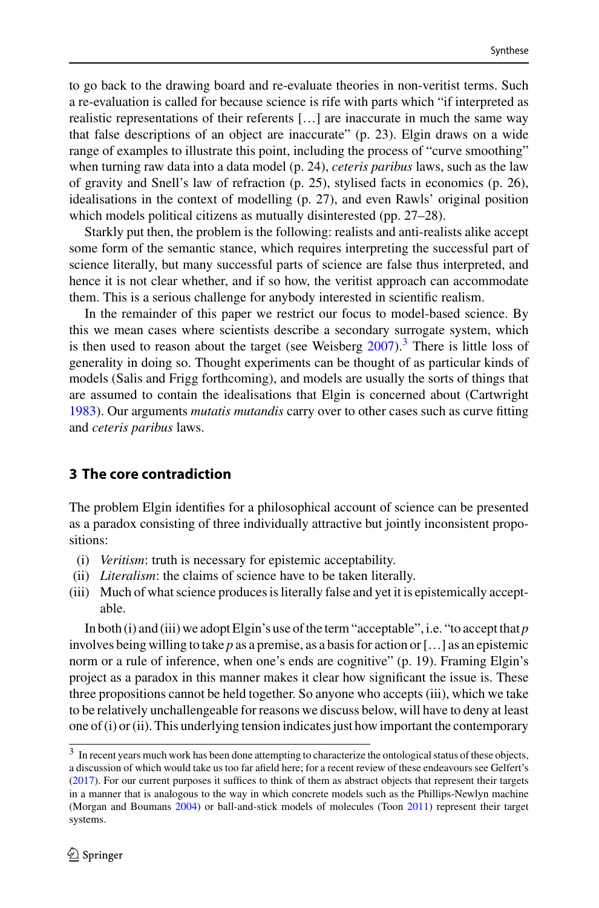to go back to the drawing board and re-evaluate theories in non-veritist terms. Such a re-evaluation is called for because science is rife with parts which "if interpreted as realistic representations of their referents […] are inaccurate in much the same way that false descriptions of an object are inaccurate" (p. 23). Elgin draws on a wide range of examples to illustrate this point, including the process of "curve smoothing" when turning raw data into a data model (p. 24), *ceteris paribus* laws, such as the law of gravity and Snell's law of refraction (p. 25), stylised facts in economics (p. 26), idealisations in the context of modelling (p. 27), and even Rawls' original position which models political citizens as mutually disinterested (pp. 27–28).

Starkly put then, the problem is the following: realists and anti-realists alike accept some form of the semantic stance, which requires interpreting the successful part of science literally, but many successful parts of science are false thus interpreted, and hence it is not clear whether, and if so how, the veritist approach can accommodate them. This is a serious challenge for anybody interested in scientific realism.

In the remainder of this paper we restrict our focus to model-based science. By this we mean cases where scientists describe a secondary surrogate system, which is then used to reason about the target (see Weisberg  $2007$ ).<sup>[3](#page-3-1)</sup> There is little loss of generality in doing so. Thought experiments can be thought of as particular kinds of models (Salis and Frigg forthcoming), and models are usually the sorts of things that are assumed to contain the idealisations that Elgin is concerned about (Cartwright [1983\)](#page-19-6). Our arguments *mutatis mutandis* carry over to other cases such as curve fitting and *ceteris paribus* laws.

### <span id="page-3-0"></span>**3 The core contradiction**

The problem Elgin identifies for a philosophical account of science can be presented as a paradox consisting of three individually attractive but jointly inconsistent propositions:

- (i) *Veritism*: truth is necessary for epistemic acceptability.
- (ii) *Literalism*: the claims of science have to be taken literally.
- (iii) Much of what science produces is literally false and yet it is epistemically acceptable.

In both (i) and (iii) we adopt Elgin's use of the term "acceptable", i.e. "to accept that *p* involves being willing to take *p* as a premise, as a basis for action or […] as an epistemic norm or a rule of inference, when one's ends are cognitive" (p. 19). Framing Elgin's project as a paradox in this manner makes it clear how significant the issue is. These three propositions cannot be held together. So anyone who accepts (iii), which we take to be relatively unchallengeable for reasons we discuss below, will have to deny at least one of (i) or (ii). This underlying tension indicates just how important the contemporary

<span id="page-3-1"></span><sup>&</sup>lt;sup>3</sup> In recent years much work has been done attempting to characterize the ontological status of these objects, a discussion of which would take us too far afield here; for a recent review of these endeavours see Gelfert's [\(2017\)](#page-19-7). For our current purposes it suffices to think of them as abstract objects that represent their targets in a manner that is analogous to the way in which concrete models such as the Phillips-Newlyn machine (Morgan and Boumans [2004\)](#page-20-5) or ball-and-stick models of molecules (Toon [2011\)](#page-20-6) represent their target systems.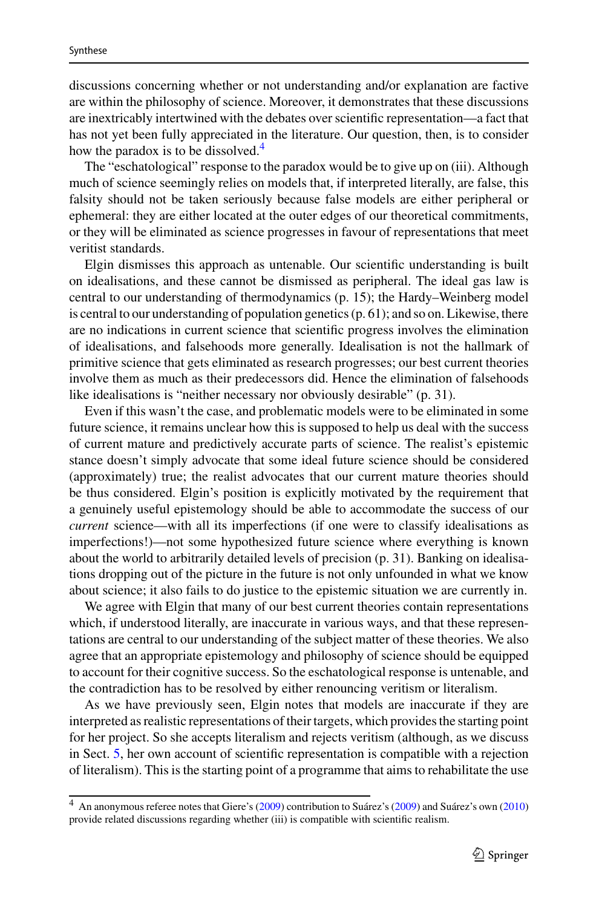discussions concerning whether or not understanding and/or explanation are factive are within the philosophy of science. Moreover, it demonstrates that these discussions are inextricably intertwined with the debates over scientific representation—a fact that has not yet been fully appreciated in the literature. Our question, then, is to consider how the paradox is to be dissolved.<sup>[4](#page-4-0)</sup>

The "eschatological" response to the paradox would be to give up on (iii). Although much of science seemingly relies on models that, if interpreted literally, are false, this falsity should not be taken seriously because false models are either peripheral or ephemeral: they are either located at the outer edges of our theoretical commitments, or they will be eliminated as science progresses in favour of representations that meet veritist standards.

Elgin dismisses this approach as untenable. Our scientific understanding is built on idealisations, and these cannot be dismissed as peripheral. The ideal gas law is central to our understanding of thermodynamics (p. 15); the Hardy–Weinberg model is central to our understanding of population genetics (p. 61); and so on. Likewise, there are no indications in current science that scientific progress involves the elimination of idealisations, and falsehoods more generally. Idealisation is not the hallmark of primitive science that gets eliminated as research progresses; our best current theories involve them as much as their predecessors did. Hence the elimination of falsehoods like idealisations is "neither necessary nor obviously desirable" (p. 31).

Even if this wasn't the case, and problematic models were to be eliminated in some future science, it remains unclear how this is supposed to help us deal with the success of current mature and predictively accurate parts of science. The realist's epistemic stance doesn't simply advocate that some ideal future science should be considered (approximately) true; the realist advocates that our current mature theories should be thus considered. Elgin's position is explicitly motivated by the requirement that a genuinely useful epistemology should be able to accommodate the success of our *current* science—with all its imperfections (if one were to classify idealisations as imperfections!)—not some hypothesized future science where everything is known about the world to arbitrarily detailed levels of precision (p. 31). Banking on idealisations dropping out of the picture in the future is not only unfounded in what we know about science; it also fails to do justice to the epistemic situation we are currently in.

We agree with Elgin that many of our best current theories contain representations which, if understood literally, are inaccurate in various ways, and that these representations are central to our understanding of the subject matter of these theories. We also agree that an appropriate epistemology and philosophy of science should be equipped to account for their cognitive success. So the eschatological response is untenable, and the contradiction has to be resolved by either renouncing veritism or literalism.

As we have previously seen, Elgin notes that models are inaccurate if they are interpreted as realistic representations of their targets, which provides the starting point for her project. So she accepts literalism and rejects veritism (although, as we discuss in Sect. [5,](#page-15-0) her own account of scientific representation is compatible with a rejection of literalism). This is the starting point of a programme that aims to rehabilitate the use

<span id="page-4-0"></span><sup>4</sup> An anonymous referee notes that Giere's [\(2009\)](#page-19-8) contribution to Suárez's [\(2009\)](#page-20-7) and Suárez's own [\(2010\)](#page-20-8) provide related discussions regarding whether (iii) is compatible with scientific realism.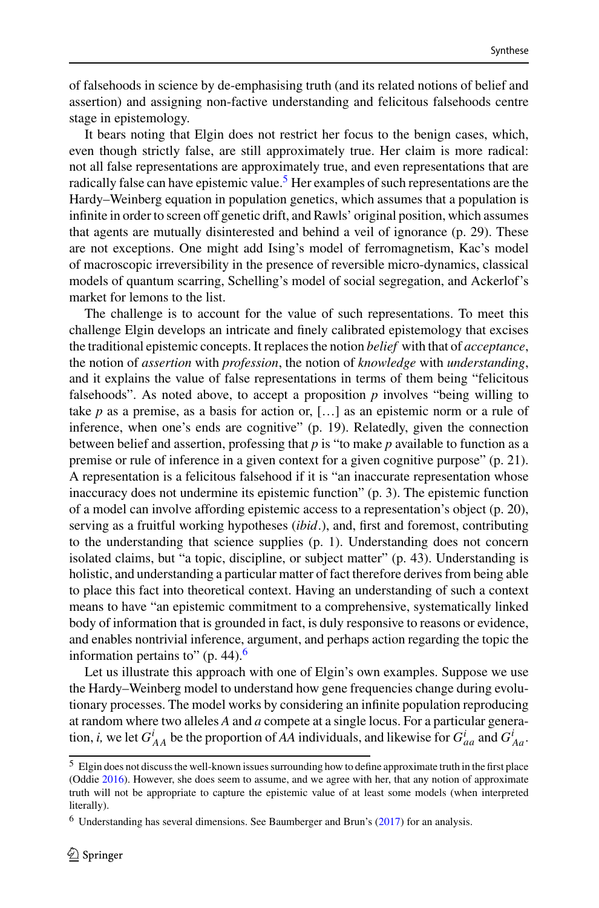of falsehoods in science by de-emphasising truth (and its related notions of belief and assertion) and assigning non-factive understanding and felicitous falsehoods centre stage in epistemology.

It bears noting that Elgin does not restrict her focus to the benign cases, which, even though strictly false, are still approximately true. Her claim is more radical: not all false representations are approximately true, and even representations that are radically false can have epistemic value.<sup>[5](#page-5-0)</sup> Her examples of such representations are the Hardy–Weinberg equation in population genetics, which assumes that a population is infinite in order to screen off genetic drift, and Rawls' original position, which assumes that agents are mutually disinterested and behind a veil of ignorance (p. 29). These are not exceptions. One might add Ising's model of ferromagnetism, Kac's model of macroscopic irreversibility in the presence of reversible micro-dynamics, classical models of quantum scarring, Schelling's model of social segregation, and Ackerlof's market for lemons to the list.

The challenge is to account for the value of such representations. To meet this challenge Elgin develops an intricate and finely calibrated epistemology that excises the traditional epistemic concepts. It replaces the notion *belief* with that of *acceptance*, the notion of *assertion* with *profession*, the notion of *knowledge* with *understanding*, and it explains the value of false representations in terms of them being "felicitous falsehoods". As noted above, to accept a proposition *p* involves "being willing to take *p* as a premise, as a basis for action or, […] as an epistemic norm or a rule of inference, when one's ends are cognitive" (p. 19). Relatedly, given the connection between belief and assertion, professing that *p* is "to make *p* available to function as a premise or rule of inference in a given context for a given cognitive purpose" (p. 21). A representation is a felicitous falsehood if it is "an inaccurate representation whose inaccuracy does not undermine its epistemic function" (p. 3). The epistemic function of a model can involve affording epistemic access to a representation's object (p. 20), serving as a fruitful working hypotheses (*ibid*.), and, first and foremost, contributing to the understanding that science supplies (p. 1). Understanding does not concern isolated claims, but "a topic, discipline, or subject matter" (p. 43). Understanding is holistic, and understanding a particular matter of fact therefore derives from being able to place this fact into theoretical context. Having an understanding of such a context means to have "an epistemic commitment to a comprehensive, systematically linked body of information that is grounded in fact, is duly responsive to reasons or evidence, and enables nontrivial inference, argument, and perhaps action regarding the topic the information pertains to"  $(p. 44)$ .

Let us illustrate this approach with one of Elgin's own examples. Suppose we use the Hardy–Weinberg model to understand how gene frequencies change during evolutionary processes. The model works by considering an infinite population reproducing at random where two alleles *A* and *a* compete at a single locus. For a particular generation, *i*, we let  $G_{AA}^i$  be the proportion of *AA* individuals, and likewise for  $G_{aa}^i$  and  $G_{AA}^i$ .

<span id="page-5-0"></span><sup>5</sup> Elgin does not discuss the well-known issues surrounding how to define approximate truth in the first place (Oddie [2016\)](#page-20-9). However, she does seem to assume, and we agree with her, that any notion of approximate truth will not be appropriate to capture the epistemic value of at least some models (when interpreted literally).

<span id="page-5-1"></span><sup>6</sup> Understanding has several dimensions. See Baumberger and Brun's [\(2017\)](#page-19-9) for an analysis.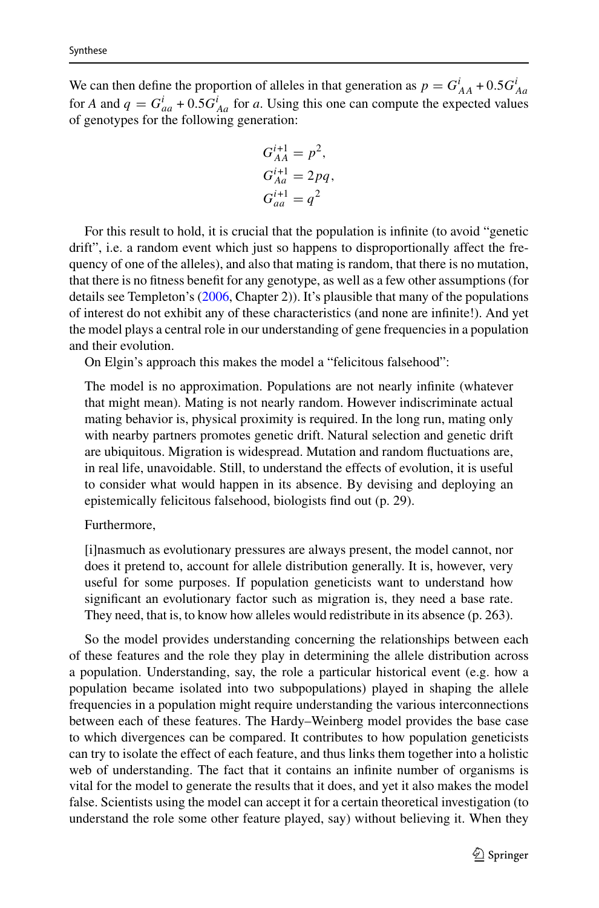We can then define the proportion of alleles in that generation as  $p = G_{AA}^i + 0.5G_{Aa}^i$ for *A* and  $q = G_{aa}^i + 0.5G_{Aa}^i$  for *a*. Using this one can compute the expected values of genotypes for the following generation:

$$
G_{AA}^{i+1} = p^2,
$$
  
\n
$$
G_{Aa}^{i+1} = 2pq,
$$
  
\n
$$
G_{aa}^{i+1} = q^2
$$

For this result to hold, it is crucial that the population is infinite (to avoid "genetic drift", i.e. a random event which just so happens to disproportionally affect the frequency of one of the alleles), and also that mating is random, that there is no mutation, that there is no fitness benefit for any genotype, as well as a few other assumptions (for details see Templeton's [\(2006,](#page-20-10) Chapter 2)). It's plausible that many of the populations of interest do not exhibit any of these characteristics (and none are infinite!). And yet the model plays a central role in our understanding of gene frequencies in a population and their evolution.

On Elgin's approach this makes the model a "felicitous falsehood":

The model is no approximation. Populations are not nearly infinite (whatever that might mean). Mating is not nearly random. However indiscriminate actual mating behavior is, physical proximity is required. In the long run, mating only with nearby partners promotes genetic drift. Natural selection and genetic drift are ubiquitous. Migration is widespread. Mutation and random fluctuations are, in real life, unavoidable. Still, to understand the effects of evolution, it is useful to consider what would happen in its absence. By devising and deploying an epistemically felicitous falsehood, biologists find out (p. 29).

#### Furthermore,

[i]nasmuch as evolutionary pressures are always present, the model cannot, nor does it pretend to, account for allele distribution generally. It is, however, very useful for some purposes. If population geneticists want to understand how significant an evolutionary factor such as migration is, they need a base rate. They need, that is, to know how alleles would redistribute in its absence (p. 263).

So the model provides understanding concerning the relationships between each of these features and the role they play in determining the allele distribution across a population. Understanding, say, the role a particular historical event (e.g. how a population became isolated into two subpopulations) played in shaping the allele frequencies in a population might require understanding the various interconnections between each of these features. The Hardy–Weinberg model provides the base case to which divergences can be compared. It contributes to how population geneticists can try to isolate the effect of each feature, and thus links them together into a holistic web of understanding. The fact that it contains an infinite number of organisms is vital for the model to generate the results that it does, and yet it also makes the model false. Scientists using the model can accept it for a certain theoretical investigation (to understand the role some other feature played, say) without believing it. When they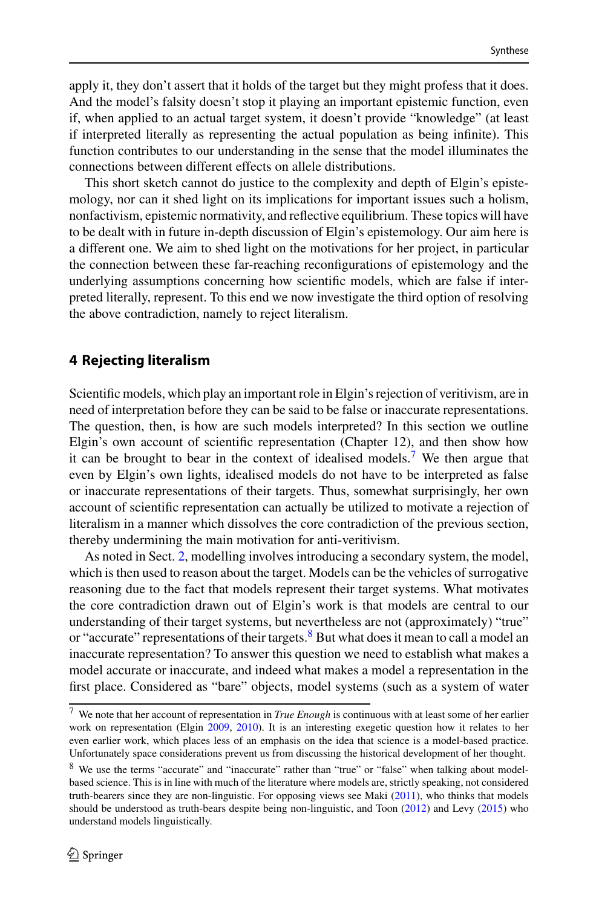apply it, they don't assert that it holds of the target but they might profess that it does. And the model's falsity doesn't stop it playing an important epistemic function, even if, when applied to an actual target system, it doesn't provide "knowledge" (at least if interpreted literally as representing the actual population as being infinite). This function contributes to our understanding in the sense that the model illuminates the connections between different effects on allele distributions.

This short sketch cannot do justice to the complexity and depth of Elgin's epistemology, nor can it shed light on its implications for important issues such a holism, nonfactivism, epistemic normativity, and reflective equilibrium. These topics will have to be dealt with in future in-depth discussion of Elgin's epistemology. Our aim here is a different one. We aim to shed light on the motivations for her project, in particular the connection between these far-reaching reconfigurations of epistemology and the underlying assumptions concerning how scientific models, which are false if interpreted literally, represent. To this end we now investigate the third option of resolving the above contradiction, namely to reject literalism.

### <span id="page-7-0"></span>**4 Rejecting literalism**

Scientific models, which play an important role in Elgin's rejection of veritivism, are in need of interpretation before they can be said to be false or inaccurate representations. The question, then, is how are such models interpreted? In this section we outline Elgin's own account of scientific representation (Chapter 12), and then show how it can be brought to bear in the context of idealised models.[7](#page-7-1) We then argue that even by Elgin's own lights, idealised models do not have to be interpreted as false or inaccurate representations of their targets. Thus, somewhat surprisingly, her own account of scientific representation can actually be utilized to motivate a rejection of literalism in a manner which dissolves the core contradiction of the previous section, thereby undermining the main motivation for anti-veritivism.

As noted in Sect. [2,](#page-1-0) modelling involves introducing a secondary system, the model, which is then used to reason about the target. Models can be the vehicles of surrogative reasoning due to the fact that models represent their target systems. What motivates the core contradiction drawn out of Elgin's work is that models are central to our understanding of their target systems, but nevertheless are not (approximately) "true" or "accurate" representations of their targets. $8$  But what does it mean to call a model an inaccurate representation? To answer this question we need to establish what makes a model accurate or inaccurate, and indeed what makes a model a representation in the first place. Considered as "bare" objects, model systems (such as a system of water

<span id="page-7-1"></span><sup>7</sup> We note that her account of representation in *True Enough* is continuous with at least some of her earlier work on representation (Elgin [2009,](#page-19-10) [2010\)](#page-19-11). It is an interesting exegetic question how it relates to her even earlier work, which places less of an emphasis on the idea that science is a model-based practice. Unfortunately space considerations prevent us from discussing the historical development of her thought.

<span id="page-7-2"></span><sup>8</sup> We use the terms "accurate" and "inaccurate" rather than "true" or "false" when talking about modelbased science. This is in line with much of the literature where models are, strictly speaking, not considered truth-bearers since they are non-linguistic. For opposing views see Maki [\(2011\)](#page-20-11), who thinks that models should be understood as truth-bears despite being non-linguistic, and Toon [\(2012\)](#page-20-12) and Levy [\(2015\)](#page-20-13) who understand models linguistically.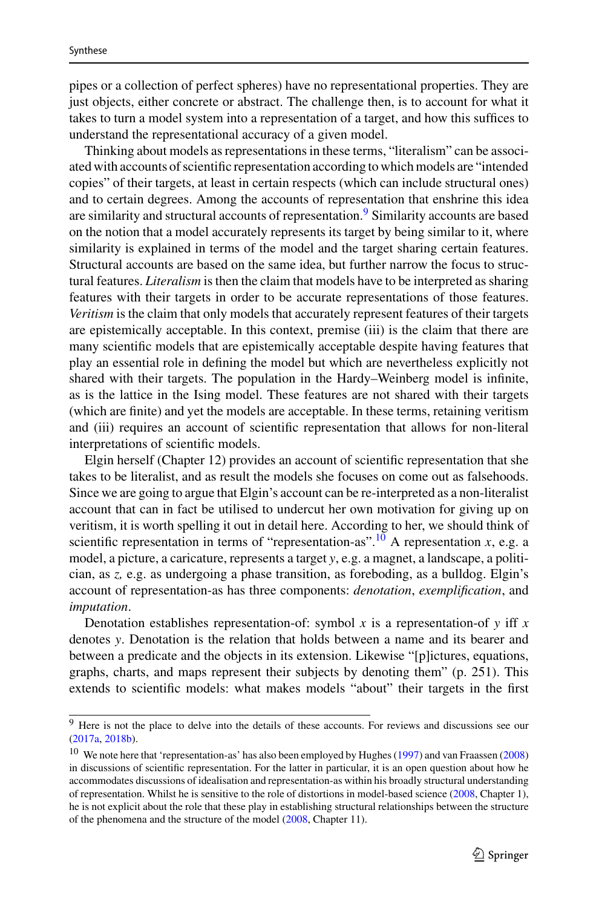pipes or a collection of perfect spheres) have no representational properties. They are just objects, either concrete or abstract. The challenge then, is to account for what it takes to turn a model system into a representation of a target, and how this suffices to understand the representational accuracy of a given model.

Thinking about models as representations in these terms, "literalism" can be associated with accounts of scientific representation according to which models are "intended copies" of their targets, at least in certain respects (which can include structural ones) and to certain degrees. Among the accounts of representation that enshrine this idea are similarity and structural accounts of representation.<sup>9</sup> Similarity accounts are based on the notion that a model accurately represents its target by being similar to it, where similarity is explained in terms of the model and the target sharing certain features. Structural accounts are based on the same idea, but further narrow the focus to structural features. *Literalism* is then the claim that models have to be interpreted as sharing features with their targets in order to be accurate representations of those features. *Veritism* is the claim that only models that accurately represent features of their targets are epistemically acceptable. In this context, premise (iii) is the claim that there are many scientific models that are epistemically acceptable despite having features that play an essential role in defining the model but which are nevertheless explicitly not shared with their targets. The population in the Hardy–Weinberg model is infinite, as is the lattice in the Ising model. These features are not shared with their targets (which are finite) and yet the models are acceptable. In these terms, retaining veritism and (iii) requires an account of scientific representation that allows for non-literal interpretations of scientific models.

Elgin herself (Chapter 12) provides an account of scientific representation that she takes to be literalist, and as result the models she focuses on come out as falsehoods. Since we are going to argue that Elgin's account can be re-interpreted as a non-literalist account that can in fact be utilised to undercut her own motivation for giving up on veritism, it is worth spelling it out in detail here. According to her, we should think of scientific representation in terms of "representation-as".<sup>10</sup> A representation *x*, e.g. a model, a picture, a caricature, represents a target *y*, e.g. a magnet, a landscape, a politician, as *z,* e.g. as undergoing a phase transition, as foreboding, as a bulldog. Elgin's account of representation-as has three components: *denotation*, *exemplification*, and *imputation*.

Denotation establishes representation-of: symbol  $x$  is a representation-of  $y$  iff  $x$ denotes *y*. Denotation is the relation that holds between a name and its bearer and between a predicate and the objects in its extension. Likewise "[p]ictures, equations, graphs, charts, and maps represent their subjects by denoting them" (p. 251). This extends to scientific models: what makes models "about" their targets in the first

<span id="page-8-0"></span><sup>&</sup>lt;sup>9</sup> Here is not the place to delve into the details of these accounts. For reviews and discussions see our [\(2017a,](#page-19-2) [2018b\)](#page-19-3).

<span id="page-8-1"></span><sup>10</sup> We note here that 'representation-as' has also been employed by Hughes [\(1997\)](#page-20-14) and van Fraassen [\(2008\)](#page-20-15) in discussions of scientific representation. For the latter in particular, it is an open question about how he accommodates discussions of idealisation and representation-as within his broadly structural understanding of representation. Whilst he is sensitive to the role of distortions in model-based science [\(2008,](#page-20-15) Chapter 1), he is not explicit about the role that these play in establishing structural relationships between the structure of the phenomena and the structure of the model [\(2008,](#page-20-15) Chapter 11).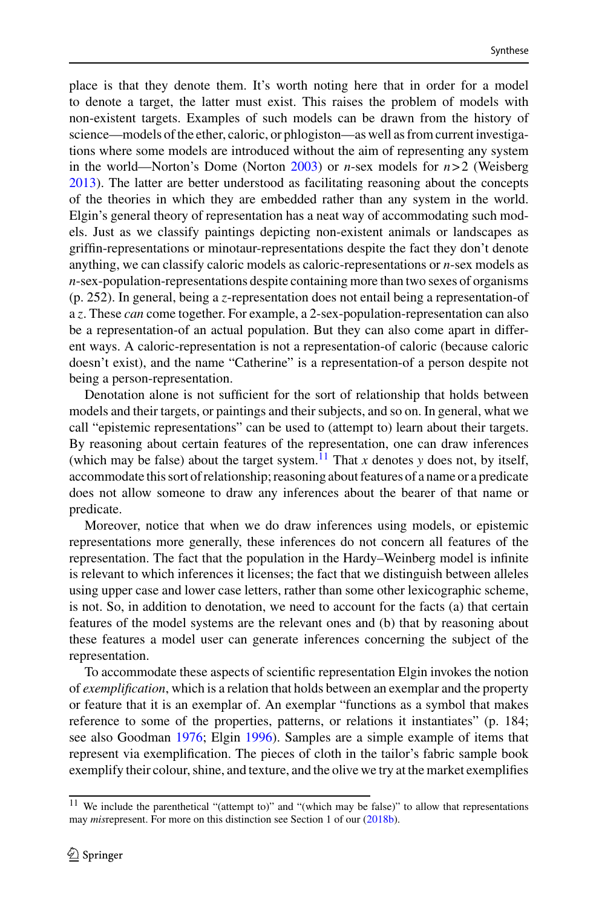place is that they denote them. It's worth noting here that in order for a model to denote a target, the latter must exist. This raises the problem of models with non-existent targets. Examples of such models can be drawn from the history of science—models of the ether, caloric, or phlogiston—as well as from current investigations where some models are introduced without the aim of representing any system in the world—Norton's Dome (Norton [2003\)](#page-20-16) or *n*-sex models for *n*> 2 (Weisberg [2013\)](#page-20-17). The latter are better understood as facilitating reasoning about the concepts of the theories in which they are embedded rather than any system in the world. Elgin's general theory of representation has a neat way of accommodating such models. Just as we classify paintings depicting non-existent animals or landscapes as griffin-representations or minotaur-representations despite the fact they don't denote anything, we can classify caloric models as caloric-representations or *n*-sex models as *n*-sex-population-representations despite containing more than two sexes of organisms (p. 252). In general, being a *z*-representation does not entail being a representation-of a *z*. These *can* come together. For example, a 2-sex-population-representation can also be a representation-of an actual population. But they can also come apart in different ways. A caloric-representation is not a representation-of caloric (because caloric doesn't exist), and the name "Catherine" is a representation-of a person despite not being a person-representation.

Denotation alone is not sufficient for the sort of relationship that holds between models and their targets, or paintings and their subjects, and so on. In general, what we call "epistemic representations" can be used to (attempt to) learn about their targets. By reasoning about certain features of the representation, one can draw inferences (which may be false) about the target system.<sup>[11](#page-9-0)</sup> That *x* denotes *y* does not, by itself, accommodate this sort of relationship; reasoning about features of a name or a predicate does not allow someone to draw any inferences about the bearer of that name or predicate.

Moreover, notice that when we do draw inferences using models, or epistemic representations more generally, these inferences do not concern all features of the representation. The fact that the population in the Hardy–Weinberg model is infinite is relevant to which inferences it licenses; the fact that we distinguish between alleles using upper case and lower case letters, rather than some other lexicographic scheme, is not. So, in addition to denotation, we need to account for the facts (a) that certain features of the model systems are the relevant ones and (b) that by reasoning about these features a model user can generate inferences concerning the subject of the representation.

To accommodate these aspects of scientific representation Elgin invokes the notion of *exemplification*, which is a relation that holds between an exemplar and the property or feature that it is an exemplar of. An exemplar "functions as a symbol that makes reference to some of the properties, patterns, or relations it instantiates" (p. 184; see also Goodman [1976;](#page-19-12) Elgin [1996\)](#page-19-13). Samples are a simple example of items that represent via exemplification. The pieces of cloth in the tailor's fabric sample book exemplify their colour, shine, and texture, and the olive we try at the market exemplifies

<span id="page-9-0"></span><sup>&</sup>lt;sup>11</sup> We include the parenthetical "(attempt to)" and "(which may be false)" to allow that representations may *mis*represent. For more on this distinction see Section 1 of our [\(2018b\)](#page-19-3).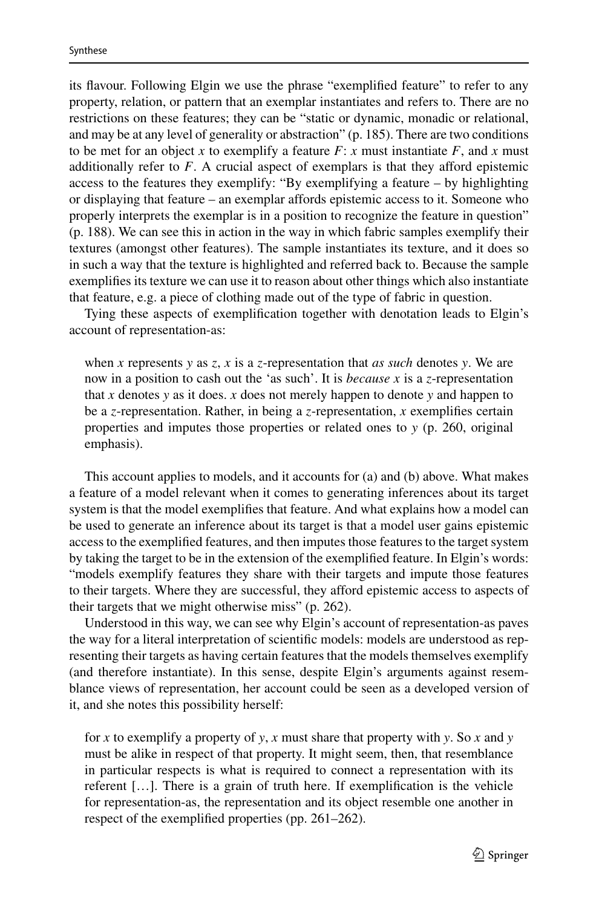its flavour. Following Elgin we use the phrase "exemplified feature" to refer to any property, relation, or pattern that an exemplar instantiates and refers to. There are no restrictions on these features; they can be "static or dynamic, monadic or relational, and may be at any level of generality or abstraction" (p. 185). There are two conditions to be met for an object *x* to exemplify a feature  $F: x$  must instantiate  $F$ , and  $x$  must additionally refer to *F*. A crucial aspect of exemplars is that they afford epistemic access to the features they exemplify: "By exemplifying a feature – by highlighting or displaying that feature – an exemplar affords epistemic access to it. Someone who properly interprets the exemplar is in a position to recognize the feature in question" (p. 188). We can see this in action in the way in which fabric samples exemplify their textures (amongst other features). The sample instantiates its texture, and it does so in such a way that the texture is highlighted and referred back to. Because the sample exemplifies its texture we can use it to reason about other things which also instantiate that feature, e.g. a piece of clothing made out of the type of fabric in question.

Tying these aspects of exemplification together with denotation leads to Elgin's account of representation-as:

when *x* represents *y* as *z*, *x* is a *z*-representation that *as such* denotes *y*. We are now in a position to cash out the 'as such'. It is *because x* is a *z*-representation that *x* denotes *y* as it does. *x* does not merely happen to denote *y* and happen to be a *z*-representation. Rather, in being a *z*-representation, *x* exemplifies certain properties and imputes those properties or related ones to *y* (p. 260, original emphasis).

This account applies to models, and it accounts for (a) and (b) above. What makes a feature of a model relevant when it comes to generating inferences about its target system is that the model exemplifies that feature. And what explains how a model can be used to generate an inference about its target is that a model user gains epistemic access to the exemplified features, and then imputes those features to the target system by taking the target to be in the extension of the exemplified feature. In Elgin's words: "models exemplify features they share with their targets and impute those features to their targets. Where they are successful, they afford epistemic access to aspects of their targets that we might otherwise miss" (p. 262).

Understood in this way, we can see why Elgin's account of representation-as paves the way for a literal interpretation of scientific models: models are understood as representing their targets as having certain features that the models themselves exemplify (and therefore instantiate). In this sense, despite Elgin's arguments against resemblance views of representation, her account could be seen as a developed version of it, and she notes this possibility herself:

for *x* to exemplify a property of *y*, *x* must share that property with *y*. So *x* and *y* must be alike in respect of that property. It might seem, then, that resemblance in particular respects is what is required to connect a representation with its referent […]. There is a grain of truth here. If exemplification is the vehicle for representation-as, the representation and its object resemble one another in respect of the exemplified properties (pp. 261–262).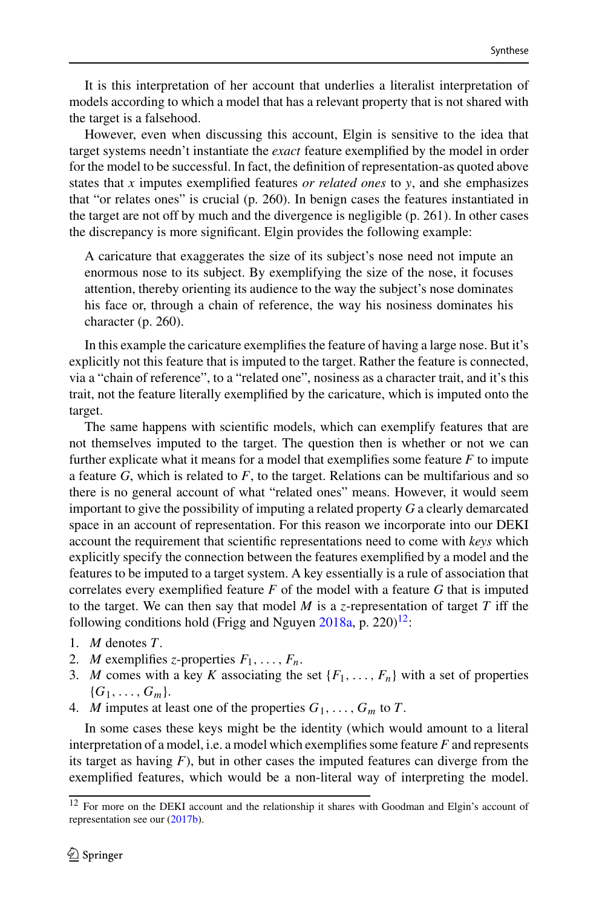It is this interpretation of her account that underlies a literalist interpretation of models according to which a model that has a relevant property that is not shared with the target is a falsehood.

However, even when discussing this account, Elgin is sensitive to the idea that target systems needn't instantiate the *exact* feature exemplified by the model in order for the model to be successful. In fact, the definition of representation-as quoted above states that *x* imputes exemplified features *or related ones* to *y*, and she emphasizes that "or relates ones" is crucial (p. 260). In benign cases the features instantiated in the target are not off by much and the divergence is negligible (p. 261). In other cases the discrepancy is more significant. Elgin provides the following example:

A caricature that exaggerates the size of its subject's nose need not impute an enormous nose to its subject. By exemplifying the size of the nose, it focuses attention, thereby orienting its audience to the way the subject's nose dominates his face or, through a chain of reference, the way his nosiness dominates his character (p. 260).

In this example the caricature exemplifies the feature of having a large nose. But it's explicitly not this feature that is imputed to the target. Rather the feature is connected, via a "chain of reference", to a "related one", nosiness as a character trait, and it's this trait, not the feature literally exemplified by the caricature, which is imputed onto the target.

The same happens with scientific models, which can exemplify features that are not themselves imputed to the target. The question then is whether or not we can further explicate what it means for a model that exemplifies some feature *F* to impute a feature *G*, which is related to *F*, to the target. Relations can be multifarious and so there is no general account of what "related ones" means. However, it would seem important to give the possibility of imputing a related property *G* a clearly demarcated space in an account of representation. For this reason we incorporate into our DEKI account the requirement that scientific representations need to come with *keys* which explicitly specify the connection between the features exemplified by a model and the features to be imputed to a target system. A key essentially is a rule of association that correlates every exemplified feature *F* of the model with a feature *G* that is imputed to the target. We can then say that model *M* is a *z*-representation of target *T* iff the following conditions hold (Frigg and Nguyen  $2018a$ , p. 220)<sup>12</sup>:

- 1. *M* denotes *T*.
- 2. *M* exemplifies *z*-properties  $F_1, \ldots, F_n$ .
- 3. *M* comes with a key *K* associating the set  $\{F_1, \ldots, F_n\}$  with a set of properties  ${G_1, \ldots, G_m}$ .
- 4. *M* imputes at least one of the properties  $G_1, \ldots, G_m$  to *T*.

In some cases these keys might be the identity (which would amount to a literal interpretation of a model, i.e. a model which exemplifies some feature *F* and represents its target as having  $F$ ), but in other cases the imputed features can diverge from the exemplified features, which would be a non-literal way of interpreting the model.

<span id="page-11-0"></span><sup>12</sup> For more on the DEKI account and the relationship it shares with Goodman and Elgin's account of representation see our [\(2017b\)](#page-19-15).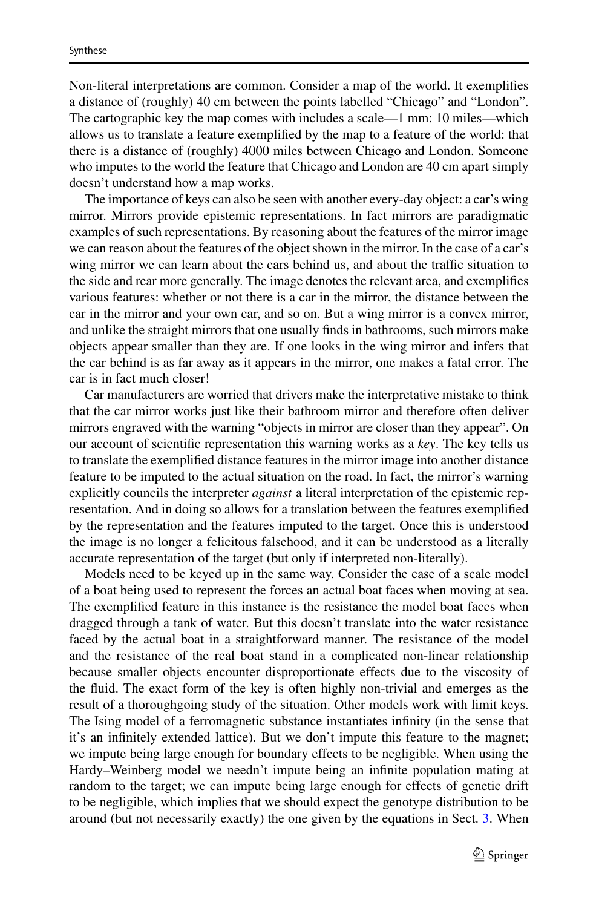Non-literal interpretations are common. Consider a map of the world. It exemplifies a distance of (roughly) 40 cm between the points labelled "Chicago" and "London". The cartographic key the map comes with includes a scale—1 mm: 10 miles—which allows us to translate a feature exemplified by the map to a feature of the world: that there is a distance of (roughly) 4000 miles between Chicago and London. Someone who imputes to the world the feature that Chicago and London are 40 cm apart simply doesn't understand how a map works.

The importance of keys can also be seen with another every-day object: a car's wing mirror. Mirrors provide epistemic representations. In fact mirrors are paradigmatic examples of such representations. By reasoning about the features of the mirror image we can reason about the features of the object shown in the mirror. In the case of a car's wing mirror we can learn about the cars behind us, and about the traffic situation to the side and rear more generally. The image denotes the relevant area, and exemplifies various features: whether or not there is a car in the mirror, the distance between the car in the mirror and your own car, and so on. But a wing mirror is a convex mirror, and unlike the straight mirrors that one usually finds in bathrooms, such mirrors make objects appear smaller than they are. If one looks in the wing mirror and infers that the car behind is as far away as it appears in the mirror, one makes a fatal error. The car is in fact much closer!

Car manufacturers are worried that drivers make the interpretative mistake to think that the car mirror works just like their bathroom mirror and therefore often deliver mirrors engraved with the warning "objects in mirror are closer than they appear". On our account of scientific representation this warning works as a *key*. The key tells us to translate the exemplified distance features in the mirror image into another distance feature to be imputed to the actual situation on the road. In fact, the mirror's warning explicitly councils the interpreter *against* a literal interpretation of the epistemic representation. And in doing so allows for a translation between the features exemplified by the representation and the features imputed to the target. Once this is understood the image is no longer a felicitous falsehood, and it can be understood as a literally accurate representation of the target (but only if interpreted non-literally).

Models need to be keyed up in the same way. Consider the case of a scale model of a boat being used to represent the forces an actual boat faces when moving at sea. The exemplified feature in this instance is the resistance the model boat faces when dragged through a tank of water. But this doesn't translate into the water resistance faced by the actual boat in a straightforward manner. The resistance of the model and the resistance of the real boat stand in a complicated non-linear relationship because smaller objects encounter disproportionate effects due to the viscosity of the fluid. The exact form of the key is often highly non-trivial and emerges as the result of a thoroughgoing study of the situation. Other models work with limit keys. The Ising model of a ferromagnetic substance instantiates infinity (in the sense that it's an infinitely extended lattice). But we don't impute this feature to the magnet; we impute being large enough for boundary effects to be negligible. When using the Hardy–Weinberg model we needn't impute being an infinite population mating at random to the target; we can impute being large enough for effects of genetic drift to be negligible, which implies that we should expect the genotype distribution to be around (but not necessarily exactly) the one given by the equations in Sect. [3.](#page-3-0) When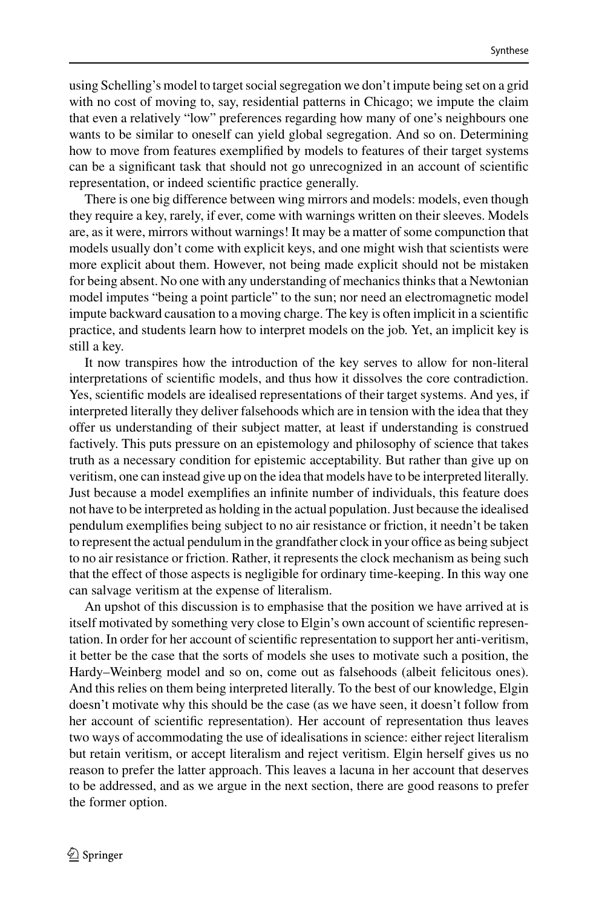using Schelling's model to target social segregation we don't impute being set on a grid with no cost of moving to, say, residential patterns in Chicago; we impute the claim that even a relatively "low" preferences regarding how many of one's neighbours one wants to be similar to oneself can yield global segregation. And so on. Determining how to move from features exemplified by models to features of their target systems can be a significant task that should not go unrecognized in an account of scientific representation, or indeed scientific practice generally.

There is one big difference between wing mirrors and models: models, even though they require a key, rarely, if ever, come with warnings written on their sleeves. Models are, as it were, mirrors without warnings! It may be a matter of some compunction that models usually don't come with explicit keys, and one might wish that scientists were more explicit about them. However, not being made explicit should not be mistaken for being absent. No one with any understanding of mechanics thinks that a Newtonian model imputes "being a point particle" to the sun; nor need an electromagnetic model impute backward causation to a moving charge. The key is often implicit in a scientific practice, and students learn how to interpret models on the job. Yet, an implicit key is still a key.

It now transpires how the introduction of the key serves to allow for non-literal interpretations of scientific models, and thus how it dissolves the core contradiction. Yes, scientific models are idealised representations of their target systems. And yes, if interpreted literally they deliver falsehoods which are in tension with the idea that they offer us understanding of their subject matter, at least if understanding is construed factively. This puts pressure on an epistemology and philosophy of science that takes truth as a necessary condition for epistemic acceptability. But rather than give up on veritism, one can instead give up on the idea that models have to be interpreted literally. Just because a model exemplifies an infinite number of individuals, this feature does not have to be interpreted as holding in the actual population. Just because the idealised pendulum exemplifies being subject to no air resistance or friction, it needn't be taken to represent the actual pendulum in the grandfather clock in your office as being subject to no air resistance or friction. Rather, it represents the clock mechanism as being such that the effect of those aspects is negligible for ordinary time-keeping. In this way one can salvage veritism at the expense of literalism.

An upshot of this discussion is to emphasise that the position we have arrived at is itself motivated by something very close to Elgin's own account of scientific representation. In order for her account of scientific representation to support her anti-veritism, it better be the case that the sorts of models she uses to motivate such a position, the Hardy–Weinberg model and so on, come out as falsehoods (albeit felicitous ones). And this relies on them being interpreted literally. To the best of our knowledge, Elgin doesn't motivate why this should be the case (as we have seen, it doesn't follow from her account of scientific representation). Her account of representation thus leaves two ways of accommodating the use of idealisations in science: either reject literalism but retain veritism, or accept literalism and reject veritism. Elgin herself gives us no reason to prefer the latter approach. This leaves a lacuna in her account that deserves to be addressed, and as we argue in the next section, there are good reasons to prefer the former option.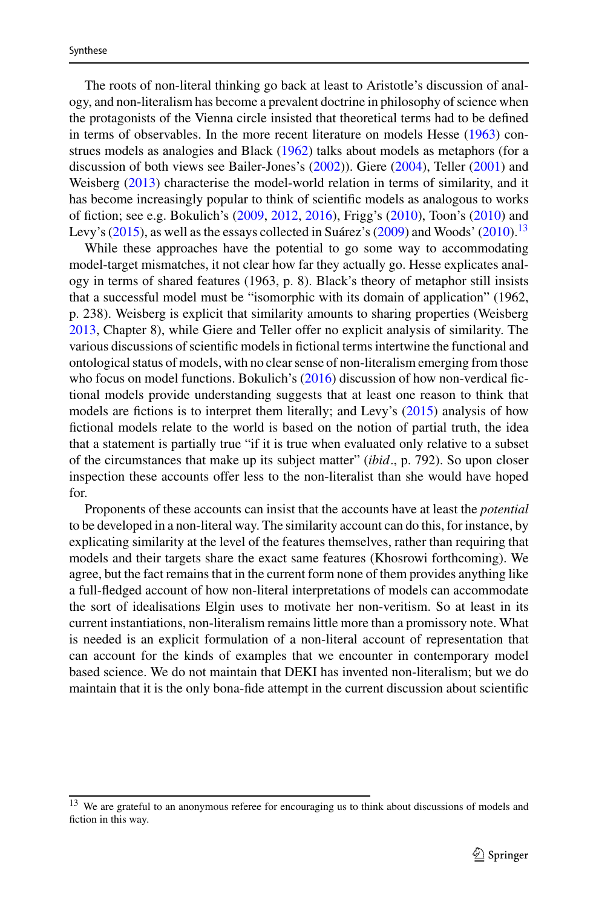The roots of non-literal thinking go back at least to Aristotle's discussion of analogy, and non-literalism has become a prevalent doctrine in philosophy of science when the protagonists of the Vienna circle insisted that theoretical terms had to be defined in terms of observables. In the more recent literature on models Hesse [\(1963\)](#page-20-18) construes models as analogies and Black [\(1962\)](#page-19-16) talks about models as metaphors (for a discussion of both views see Bailer-Jones's [\(2002\)](#page-19-17)). Giere [\(2004\)](#page-19-18), Teller [\(2001\)](#page-20-19) and Weisberg [\(2013\)](#page-20-17) characterise the model-world relation in terms of similarity, and it has become increasingly popular to think of scientific models as analogous to works of fiction; see e.g. Bokulich's [\(2009,](#page-19-19) [2012,](#page-19-20) [2016\)](#page-19-21), Frigg's [\(2010\)](#page-19-22), Toon's [\(2010\)](#page-20-20) and Levy's  $(2015)$ , as well as the essays collected in Suárez's  $(2009)$  and Woods'  $(2010)$ .<sup>[13](#page-14-0)</sup>

While these approaches have the potential to go some way to accommodating model-target mismatches, it not clear how far they actually go. Hesse explicates analogy in terms of shared features (1963, p. 8). Black's theory of metaphor still insists that a successful model must be "isomorphic with its domain of application" (1962, p. 238). Weisberg is explicit that similarity amounts to sharing properties (Weisberg [2013,](#page-20-17) Chapter 8), while Giere and Teller offer no explicit analysis of similarity. The various discussions of scientific models in fictional terms intertwine the functional and ontological status of models, with no clear sense of non-literalism emerging from those who focus on model functions. Bokulich's [\(2016\)](#page-19-21) discussion of how non-verdical fictional models provide understanding suggests that at least one reason to think that models are fictions is to interpret them literally; and Levy's [\(2015\)](#page-20-13) analysis of how fictional models relate to the world is based on the notion of partial truth, the idea that a statement is partially true "if it is true when evaluated only relative to a subset of the circumstances that make up its subject matter" (*ibid*., p. 792). So upon closer inspection these accounts offer less to the non-literalist than she would have hoped for.

Proponents of these accounts can insist that the accounts have at least the *potential* to be developed in a non-literal way. The similarity account can do this, for instance, by explicating similarity at the level of the features themselves, rather than requiring that models and their targets share the exact same features (Khosrowi forthcoming). We agree, but the fact remains that in the current form none of them provides anything like a full-fledged account of how non-literal interpretations of models can accommodate the sort of idealisations Elgin uses to motivate her non-veritism. So at least in its current instantiations, non-literalism remains little more than a promissory note. What is needed is an explicit formulation of a non-literal account of representation that can account for the kinds of examples that we encounter in contemporary model based science. We do not maintain that DEKI has invented non-literalism; but we do maintain that it is the only bona-fide attempt in the current discussion about scientific

<span id="page-14-0"></span><sup>13</sup> We are grateful to an anonymous referee for encouraging us to think about discussions of models and fiction in this way.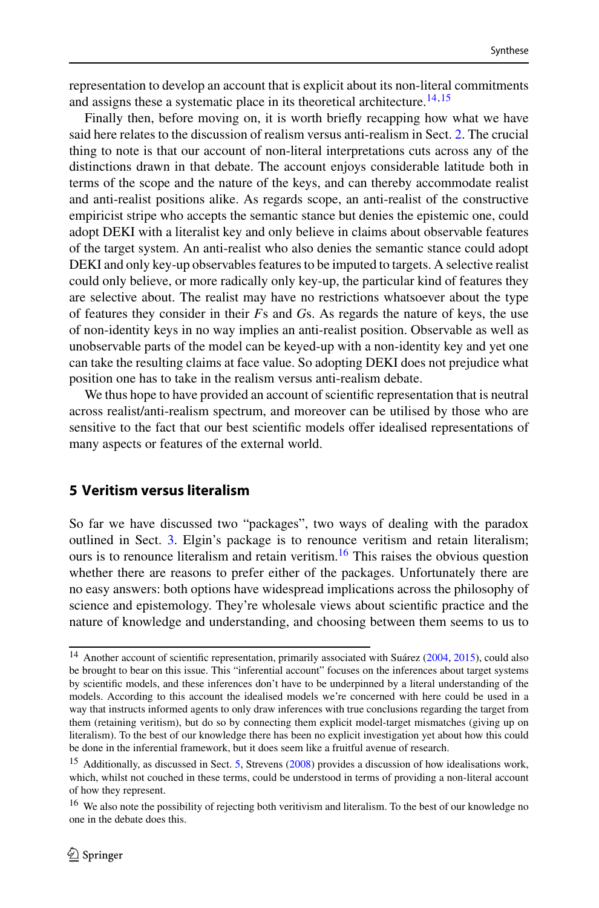representation to develop an account that is explicit about its non-literal commitments and assigns these a systematic place in its theoretical architecture.<sup>[14](#page-15-1)[,15](#page-15-2)</sup>

Finally then, before moving on, it is worth briefly recapping how what we have said here relates to the discussion of realism versus anti-realism in Sect. [2.](#page-1-0) The crucial thing to note is that our account of non-literal interpretations cuts across any of the distinctions drawn in that debate. The account enjoys considerable latitude both in terms of the scope and the nature of the keys, and can thereby accommodate realist and anti-realist positions alike. As regards scope, an anti-realist of the constructive empiricist stripe who accepts the semantic stance but denies the epistemic one, could adopt DEKI with a literalist key and only believe in claims about observable features of the target system. An anti-realist who also denies the semantic stance could adopt DEKI and only key-up observables features to be imputed to targets. A selective realist could only believe, or more radically only key-up, the particular kind of features they are selective about. The realist may have no restrictions whatsoever about the type of features they consider in their *F*s and *G*s. As regards the nature of keys, the use of non-identity keys in no way implies an anti-realist position. Observable as well as unobservable parts of the model can be keyed-up with a non-identity key and yet one can take the resulting claims at face value. So adopting DEKI does not prejudice what position one has to take in the realism versus anti-realism debate.

We thus hope to have provided an account of scientific representation that is neutral across realist/anti-realism spectrum, and moreover can be utilised by those who are sensitive to the fact that our best scientific models offer idealised representations of many aspects or features of the external world.

# <span id="page-15-0"></span>**5 Veritism versus literalism**

So far we have discussed two "packages", two ways of dealing with the paradox outlined in Sect. [3.](#page-3-0) Elgin's package is to renounce veritism and retain literalism; ours is to renounce literalism and retain veritism.<sup>[16](#page-15-3)</sup> This raises the obvious question whether there are reasons to prefer either of the packages. Unfortunately there are no easy answers: both options have widespread implications across the philosophy of science and epistemology. They're wholesale views about scientific practice and the nature of knowledge and understanding, and choosing between them seems to us to

<span id="page-15-1"></span><sup>14</sup> Another account of scientific representation, primarily associated with Suárez [\(2004,](#page-20-22) [2015\)](#page-20-23), could also be brought to bear on this issue. This "inferential account" focuses on the inferences about target systems by scientific models, and these inferences don't have to be underpinned by a literal understanding of the models. According to this account the idealised models we're concerned with here could be used in a way that instructs informed agents to only draw inferences with true conclusions regarding the target from them (retaining veritism), but do so by connecting them explicit model-target mismatches (giving up on literalism). To the best of our knowledge there has been no explicit investigation yet about how this could be done in the inferential framework, but it does seem like a fruitful avenue of research.

<span id="page-15-2"></span><sup>&</sup>lt;sup>15</sup> Additionally, as discussed in Sect. [5,](#page-15-0) Strevens [\(2008\)](#page-20-24) provides a discussion of how idealisations work, which, whilst not couched in these terms, could be understood in terms of providing a non-literal account of how they represent.

<span id="page-15-3"></span><sup>&</sup>lt;sup>16</sup> We also note the possibility of rejecting both veritivism and literalism. To the best of our knowledge no one in the debate does this.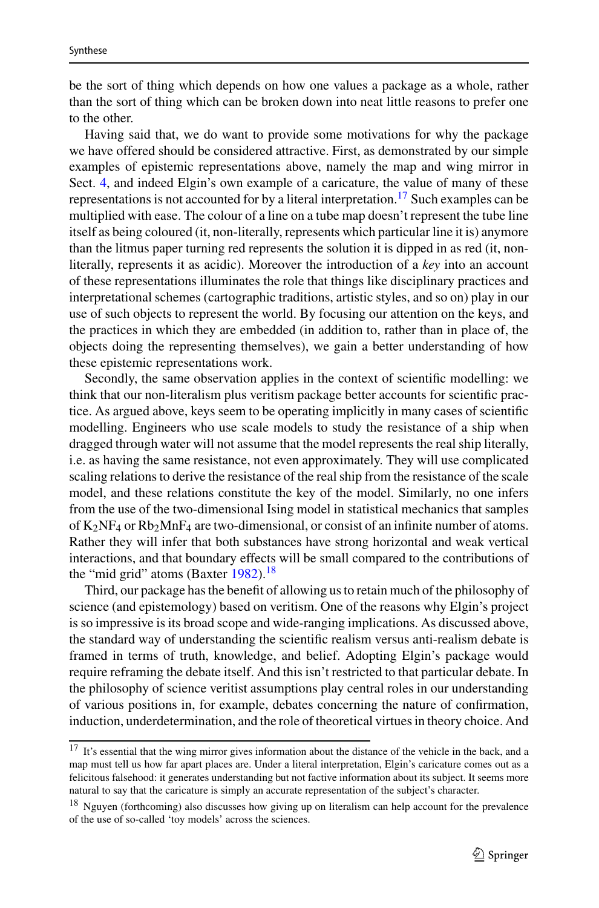be the sort of thing which depends on how one values a package as a whole, rather than the sort of thing which can be broken down into neat little reasons to prefer one to the other.

Having said that, we do want to provide some motivations for why the package we have offered should be considered attractive. First, as demonstrated by our simple examples of epistemic representations above, namely the map and wing mirror in Sect. [4,](#page-7-0) and indeed Elgin's own example of a caricature, the value of many of these representations is not accounted for by a literal interpretation.<sup>17</sup> Such examples can be multiplied with ease. The colour of a line on a tube map doesn't represent the tube line itself as being coloured (it, non-literally, represents which particular line it is) anymore than the litmus paper turning red represents the solution it is dipped in as red (it, nonliterally, represents it as acidic). Moreover the introduction of a *key* into an account of these representations illuminates the role that things like disciplinary practices and interpretational schemes (cartographic traditions, artistic styles, and so on) play in our use of such objects to represent the world. By focusing our attention on the keys, and the practices in which they are embedded (in addition to, rather than in place of, the objects doing the representing themselves), we gain a better understanding of how these epistemic representations work.

Secondly, the same observation applies in the context of scientific modelling: we think that our non-literalism plus veritism package better accounts for scientific practice. As argued above, keys seem to be operating implicitly in many cases of scientific modelling. Engineers who use scale models to study the resistance of a ship when dragged through water will not assume that the model represents the real ship literally, i.e. as having the same resistance, not even approximately. They will use complicated scaling relations to derive the resistance of the real ship from the resistance of the scale model, and these relations constitute the key of the model. Similarly, no one infers from the use of the two-dimensional Ising model in statistical mechanics that samples of K2NF4 or Rb2MnF4 are two-dimensional, or consist of an infinite number of atoms. Rather they will infer that both substances have strong horizontal and weak vertical interactions, and that boundary effects will be small compared to the contributions of the "mid grid" atoms (Baxter  $1982$ ).<sup>[18](#page-16-1)</sup>

Third, our package has the benefit of allowing us to retain much of the philosophy of science (and epistemology) based on veritism. One of the reasons why Elgin's project is so impressive is its broad scope and wide-ranging implications. As discussed above, the standard way of understanding the scientific realism versus anti-realism debate is framed in terms of truth, knowledge, and belief. Adopting Elgin's package would require reframing the debate itself. And this isn't restricted to that particular debate. In the philosophy of science veritist assumptions play central roles in our understanding of various positions in, for example, debates concerning the nature of confirmation, induction, underdetermination, and the role of theoretical virtues in theory choice. And

<span id="page-16-0"></span><sup>17</sup> It's essential that the wing mirror gives information about the distance of the vehicle in the back, and a map must tell us how far apart places are. Under a literal interpretation, Elgin's caricature comes out as a felicitous falsehood: it generates understanding but not factive information about its subject. It seems more natural to say that the caricature is simply an accurate representation of the subject's character.

<span id="page-16-1"></span><sup>&</sup>lt;sup>18</sup> Nguyen (forthcoming) also discusses how giving up on literalism can help account for the prevalence of the use of so-called 'toy models' across the sciences.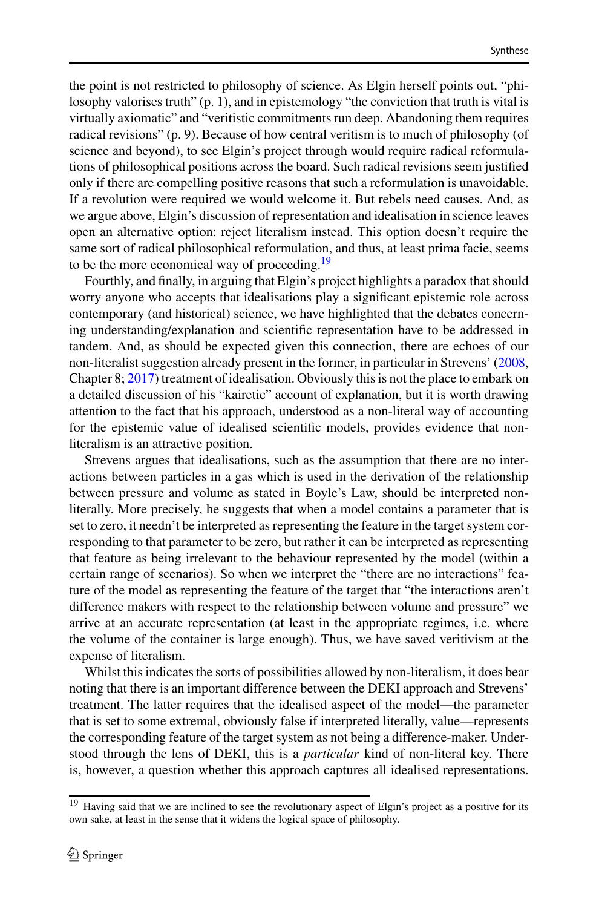the point is not restricted to philosophy of science. As Elgin herself points out, "philosophy valorises truth" (p. 1), and in epistemology "the conviction that truth is vital is virtually axiomatic" and "veritistic commitments run deep. Abandoning them requires radical revisions" (p. 9). Because of how central veritism is to much of philosophy (of science and beyond), to see Elgin's project through would require radical reformulations of philosophical positions across the board. Such radical revisions seem justified only if there are compelling positive reasons that such a reformulation is unavoidable. If a revolution were required we would welcome it. But rebels need causes. And, as we argue above, Elgin's discussion of representation and idealisation in science leaves open an alternative option: reject literalism instead. This option doesn't require the same sort of radical philosophical reformulation, and thus, at least prima facie, seems to be the more economical way of proceeding.<sup>19</sup>

Fourthly, and finally, in arguing that Elgin's project highlights a paradox that should worry anyone who accepts that idealisations play a significant epistemic role across contemporary (and historical) science, we have highlighted that the debates concerning understanding/explanation and scientific representation have to be addressed in tandem. And, as should be expected given this connection, there are echoes of our non-literalist suggestion already present in the former, in particular in Strevens' [\(2008,](#page-20-24) Chapter 8; [2017\)](#page-20-25) treatment of idealisation. Obviously this is not the place to embark on a detailed discussion of his "kairetic" account of explanation, but it is worth drawing attention to the fact that his approach, understood as a non-literal way of accounting for the epistemic value of idealised scientific models, provides evidence that nonliteralism is an attractive position.

Strevens argues that idealisations, such as the assumption that there are no interactions between particles in a gas which is used in the derivation of the relationship between pressure and volume as stated in Boyle's Law, should be interpreted nonliterally. More precisely, he suggests that when a model contains a parameter that is set to zero, it needn't be interpreted as representing the feature in the target system corresponding to that parameter to be zero, but rather it can be interpreted as representing that feature as being irrelevant to the behaviour represented by the model (within a certain range of scenarios). So when we interpret the "there are no interactions" feature of the model as representing the feature of the target that "the interactions aren't difference makers with respect to the relationship between volume and pressure" we arrive at an accurate representation (at least in the appropriate regimes, i.e. where the volume of the container is large enough). Thus, we have saved veritivism at the expense of literalism.

Whilst this indicates the sorts of possibilities allowed by non-literalism, it does bear noting that there is an important difference between the DEKI approach and Strevens' treatment. The latter requires that the idealised aspect of the model—the parameter that is set to some extremal, obviously false if interpreted literally, value—represents the corresponding feature of the target system as not being a difference-maker. Understood through the lens of DEKI, this is a *particular* kind of non-literal key. There is, however, a question whether this approach captures all idealised representations.

<span id="page-17-0"></span> $19$  Having said that we are inclined to see the revolutionary aspect of Elgin's project as a positive for its own sake, at least in the sense that it widens the logical space of philosophy.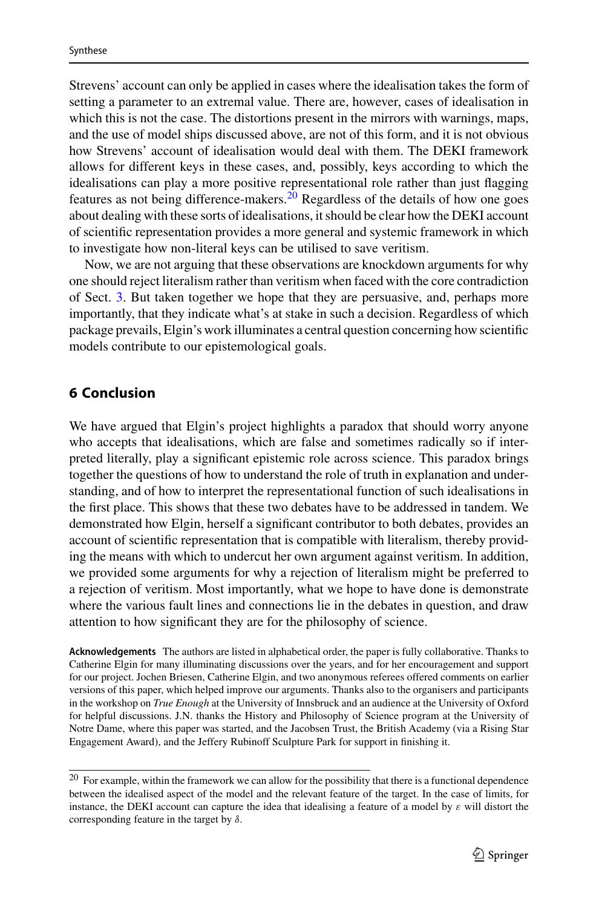Strevens' account can only be applied in cases where the idealisation takes the form of setting a parameter to an extremal value. There are, however, cases of idealisation in which this is not the case. The distortions present in the mirrors with warnings, maps, and the use of model ships discussed above, are not of this form, and it is not obvious how Strevens' account of idealisation would deal with them. The DEKI framework allows for different keys in these cases, and, possibly, keys according to which the idealisations can play a more positive representational role rather than just flagging features as not being difference-makers.<sup>[20](#page-18-1)</sup> Regardless of the details of how one goes about dealing with these sorts of idealisations, it should be clear how the DEKI account of scientific representation provides a more general and systemic framework in which to investigate how non-literal keys can be utilised to save veritism.

Now, we are not arguing that these observations are knockdown arguments for why one should reject literalism rather than veritism when faced with the core contradiction of Sect. [3.](#page-3-0) But taken together we hope that they are persuasive, and, perhaps more importantly, that they indicate what's at stake in such a decision. Regardless of which package prevails, Elgin's work illuminates a central question concerning how scientific models contribute to our epistemological goals.

### <span id="page-18-0"></span>**6 Conclusion**

We have argued that Elgin's project highlights a paradox that should worry anyone who accepts that idealisations, which are false and sometimes radically so if interpreted literally, play a significant epistemic role across science. This paradox brings together the questions of how to understand the role of truth in explanation and understanding, and of how to interpret the representational function of such idealisations in the first place. This shows that these two debates have to be addressed in tandem. We demonstrated how Elgin, herself a significant contributor to both debates, provides an account of scientific representation that is compatible with literalism, thereby providing the means with which to undercut her own argument against veritism. In addition, we provided some arguments for why a rejection of literalism might be preferred to a rejection of veritism. Most importantly, what we hope to have done is demonstrate where the various fault lines and connections lie in the debates in question, and draw attention to how significant they are for the philosophy of science.

**Acknowledgements** The authors are listed in alphabetical order, the paper is fully collaborative. Thanks to Catherine Elgin for many illuminating discussions over the years, and for her encouragement and support for our project. Jochen Briesen, Catherine Elgin, and two anonymous referees offered comments on earlier versions of this paper, which helped improve our arguments. Thanks also to the organisers and participants in the workshop on *True Enough* at the University of Innsbruck and an audience at the University of Oxford for helpful discussions. J.N. thanks the History and Philosophy of Science program at the University of Notre Dame, where this paper was started, and the Jacobsen Trust, the British Academy (via a Rising Star Engagement Award), and the Jeffery Rubinoff Sculpture Park for support in finishing it.

<span id="page-18-1"></span> $20$  For example, within the framework we can allow for the possibility that there is a functional dependence between the idealised aspect of the model and the relevant feature of the target. In the case of limits, for instance, the DEKI account can capture the idea that idealising a feature of a model by  $\varepsilon$  will distort the corresponding feature in the target by  $\delta$ .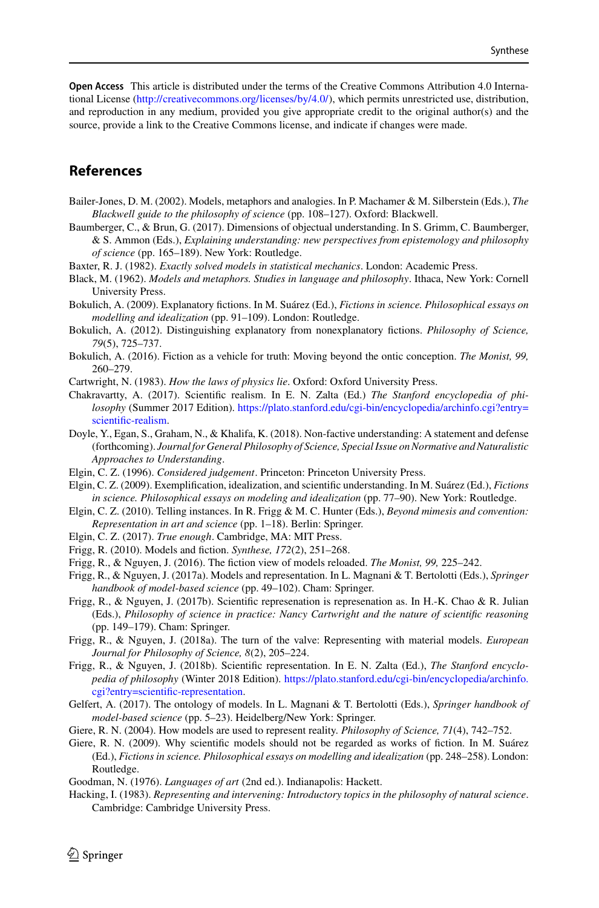**Open Access** This article is distributed under the terms of the Creative Commons Attribution 4.0 International License [\(http://creativecommons.org/licenses/by/4.0/\)](http://creativecommons.org/licenses/by/4.0/), which permits unrestricted use, distribution, and reproduction in any medium, provided you give appropriate credit to the original author(s) and the source, provide a link to the Creative Commons license, and indicate if changes were made.

# **References**

- <span id="page-19-17"></span>Bailer-Jones, D. M. (2002). Models, metaphors and analogies. In P. Machamer & M. Silberstein (Eds.), *The Blackwell guide to the philosophy of science* (pp. 108–127). Oxford: Blackwell.
- <span id="page-19-9"></span>Baumberger, C., & Brun, G. (2017). Dimensions of objectual understanding. In S. Grimm, C. Baumberger, & S. Ammon (Eds.), *Explaining understanding: new perspectives from epistemology and philosophy of science* (pp. 165–189). New York: Routledge.
- <span id="page-19-23"></span>Baxter, R. J. (1982). *Exactly solved models in statistical mechanics*. London: Academic Press.
- <span id="page-19-16"></span>Black, M. (1962). *Models and metaphors. Studies in language and philosophy*. Ithaca, New York: Cornell University Press.
- <span id="page-19-19"></span>Bokulich, A. (2009). Explanatory fictions. In M. Suárez (Ed.), *Fictions in science. Philosophical essays on modelling and idealization* (pp. 91–109). London: Routledge.
- <span id="page-19-20"></span>Bokulich, A. (2012). Distinguishing explanatory from nonexplanatory fictions. *Philosophy of Science, 79*(5), 725–737.
- <span id="page-19-21"></span>Bokulich, A. (2016). Fiction as a vehicle for truth: Moving beyond the ontic conception. *The Monist, 99,* 260–279.
- <span id="page-19-6"></span>Cartwright, N. (1983). *How the laws of physics lie*. Oxford: Oxford University Press.
- <span id="page-19-5"></span>Chakravartty, A. (2017). Scientific realism. In E. N. Zalta (Ed.) *The Stanford encyclopedia of philosophy* (Summer 2017 Edition). [https://plato.stanford.edu/cgi-bin/encyclopedia/archinfo.cgi?entry=](https://plato.stanford.edu/cgi-bin/encyclopedia/archinfo.cgi?entry=scientific-realism) scientific-realism.
- <span id="page-19-1"></span>Doyle, Y., Egan, S., Graham, N., & Khalifa, K. (2018). Non-factive understanding: A statement and defense (forthcoming). *Journal for General Philosophy of Science, Special Issue on Normative and Naturalistic Approaches to Understanding*.
- <span id="page-19-13"></span>Elgin, C. Z. (1996). *Considered judgement*. Princeton: Princeton University Press.
- <span id="page-19-10"></span>Elgin, C. Z. (2009). Exemplification, idealization, and scientific understanding. In M. Suárez (Ed.), *Fictions in science. Philosophical essays on modeling and idealization* (pp. 77–90). New York: Routledge.
- <span id="page-19-11"></span>Elgin, C. Z. (2010). Telling instances. In R. Frigg & M. C. Hunter (Eds.), *Beyond mimesis and convention: Representation in art and science* (pp. 1–18). Berlin: Springer.
- <span id="page-19-0"></span>Elgin, C. Z. (2017). *True enough*. Cambridge, MA: MIT Press.
- <span id="page-19-22"></span>Frigg, R. (2010). Models and fiction. *Synthese, 172*(2), 251–268.
- Frigg, R., & Nguyen, J. (2016). The fiction view of models reloaded. *The Monist, 99,* 225–242.
- <span id="page-19-2"></span>Frigg, R., & Nguyen, J. (2017a). Models and representation. In L. Magnani & T. Bertolotti (Eds.), *Springer handbook of model-based science* (pp. 49–102). Cham: Springer.
- <span id="page-19-15"></span>Frigg, R., & Nguyen, J. (2017b). Scientific represenation is represenation as. In H.-K. Chao & R. Julian (Eds.), *Philosophy of science in practice: Nancy Cartwright and the nature of scientific reasoning* (pp. 149–179). Cham: Springer.
- <span id="page-19-14"></span>Frigg, R., & Nguyen, J. (2018a). The turn of the valve: Representing with material models. *European Journal for Philosophy of Science, 8*(2), 205–224.
- <span id="page-19-3"></span>Frigg, R., & Nguyen, J. (2018b). Scientific representation. In E. N. Zalta (Ed.), *The Stanford encyclopedia of philosophy* (Winter 2018 Edition). [https://plato.stanford.edu/cgi-bin/encyclopedia/archinfo.](https://plato.stanford.edu/cgi-bin/encyclopedia/archinfo.cgi?entry=scientific-representation) cgi?entry=scientific-representation.
- <span id="page-19-7"></span>Gelfert, A. (2017). The ontology of models. In L. Magnani & T. Bertolotti (Eds.), *Springer handbook of model-based science* (pp. 5–23). Heidelberg/New York: Springer.
- <span id="page-19-18"></span>Giere, R. N. (2004). How models are used to represent reality. *Philosophy of Science, 71*(4), 742–752.
- <span id="page-19-8"></span>Giere, R. N. (2009). Why scientific models should not be regarded as works of fiction. In M. Suárez (Ed.), *Fictions in science. Philosophical essays on modelling and idealization* (pp. 248–258). London: Routledge.

<span id="page-19-12"></span>Goodman, N. (1976). *Languages of art* (2nd ed.). Indianapolis: Hackett.

<span id="page-19-4"></span>Hacking, I. (1983). *Representing and intervening: Introductory topics in the philosophy of natural science*. Cambridge: Cambridge University Press.